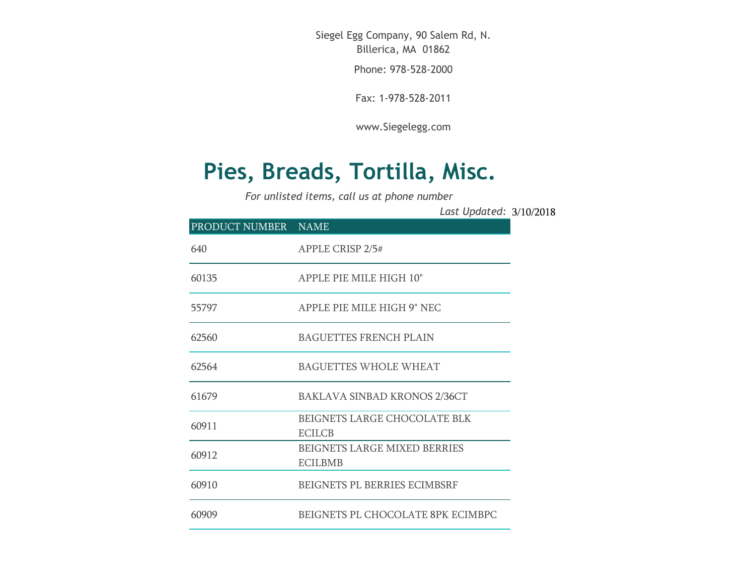Siegel Egg Company, 90 Salem Rd, N. Billerica, MA 01862

Phone: 978-528-2000

Fax: 1-978-528-2011

[www.Siegelegg.com](http://www.siegelegg.com/)

## **Pies, Breads, Tortilla, Misc.**

*For unlisted items, call us at phone number*

3/10/2018 *Last Updated:*

| PRODUCT NUMBER NAME |                                                       |
|---------------------|-------------------------------------------------------|
| 640                 | <b>APPLE CRISP 2/5#</b>                               |
| 60135               | APPLE PIE MILE HIGH 10"                               |
| 55797               | APPLE PIE MILE HIGH 9" NEC                            |
| 62560               | <b>BAGUETTES FRENCH PLAIN</b>                         |
| 62564               | <b>BAGUETTES WHOLE WHEAT</b>                          |
| 61679               | <b>BAKLAVA SINBAD KRONOS 2/36CT</b>                   |
| 60911               | BEIGNETS LARGE CHOCOLATE BLK<br><b>ECILCB</b>         |
| 60912               | <b>BEIGNETS LARGE MIXED BERRIES</b><br><b>ECILBMB</b> |
| 60910               | <b>BEIGNETS PL BERRIES ECIMBSRF</b>                   |
| 60909               | BEIGNETS PL CHOCOLATE 8PK ECIMBPC                     |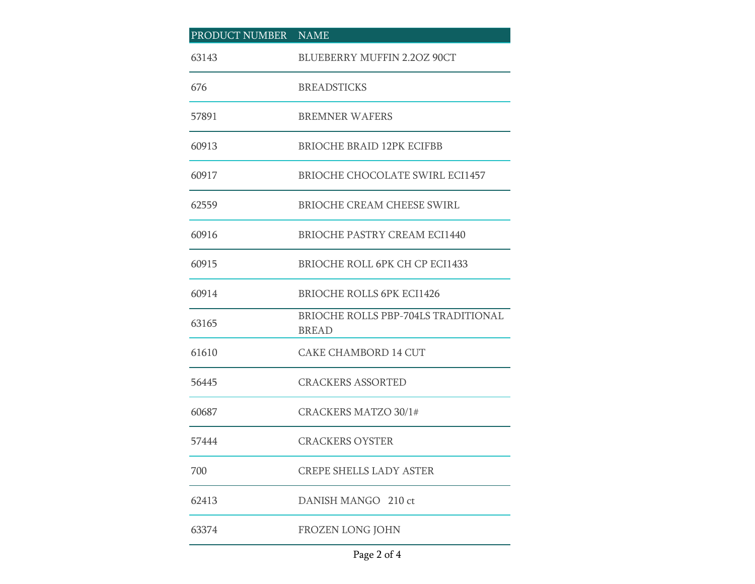## PRODUCT NUMBER NAME BLUEBERRY MUFFIN 2.2OZ 90CT BREADSTICKS BREMNER WAFERS BRIOCHE BRAID 12PK ECIFBB BRIOCHE CHOCOLATE SWIRL ECI1457 BRIOCHE CREAM CHEESE SWIRL BRIOCHE PASTRY CREAM ECI1440 BRIOCHE ROLL 6PK CH CP ECI1433 BRIOCHE ROLLS 6PK ECI1426 BRIOCHE ROLLS PBP-704LS TRADITIONAL BREAD CAKE CHAMBORD 14 CUT CRACKERS ASSORTED CRACKERS MATZO 30/1# CRACKERS OYSTER CREPE SHELLS LADY ASTER DANISH MANGO 210 ct FROZEN LONG JOHN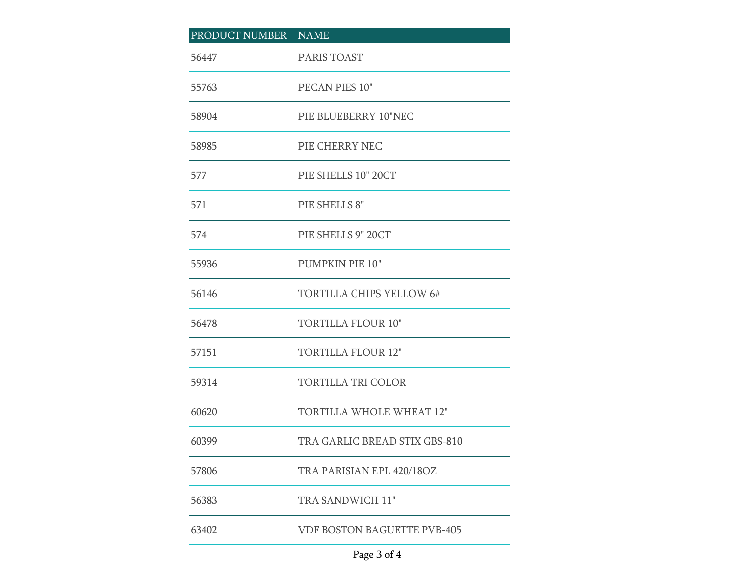| PRODUCT NUMBER NAME |                                    |
|---------------------|------------------------------------|
| 56447               | PARIS TOAST                        |
| 55763               | PECAN PIES 10"                     |
| 58904               | PIE BLUEBERRY 10"NEC               |
| 58985               | PIE CHERRY NEC                     |
| 577                 | PIE SHELLS 10" 20CT                |
| 571                 | PIE SHELLS 8"                      |
| 574                 | PIE SHELLS 9" 20CT                 |
| 55936               | PUMPKIN PIE 10"                    |
| 56146               | TORTILLA CHIPS YELLOW 6#           |
| 56478               | <b>TORTILLA FLOUR 10"</b>          |
| 57151               | <b>TORTILLA FLOUR 12"</b>          |
| 59314               | <b>TORTILLA TRI COLOR</b>          |
| 60620               | <b>TORTILLA WHOLE WHEAT 12"</b>    |
| 60399               | TRA GARLIC BREAD STIX GBS-810      |
| 57806               | TRA PARISIAN EPL 420/18OZ          |
| 56383               | TRA SANDWICH 11"                   |
| 63402               | <b>VDF BOSTON BAGUETTE PVB-405</b> |